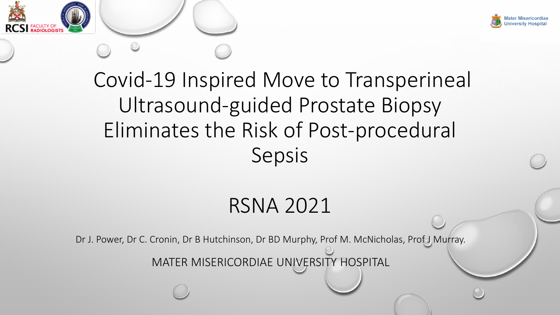

# Covid-19 Inspired Move to Transperineal Ultrasound-guided Prostate Biopsy Eliminates the Risk of Post-procedural Sepsis

## RSNA 2021

Dr J. Power, Dr C. Cronin, Dr B Hutchinson, Dr BD Murphy, Prof M. McNicholas, Prof J Murray.

MATER MISERICORDIAE UNIVERSITY HOSPITAL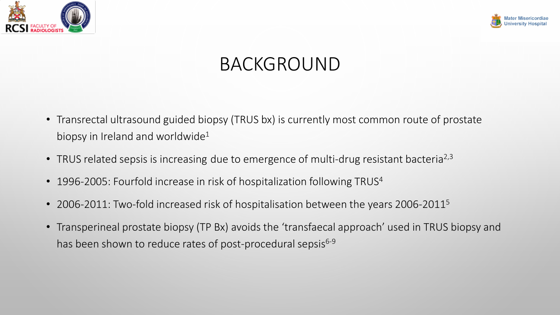



## BACKGROUND

- Transrectal ultrasound guided biopsy (TRUS bx) is currently most common route of prostate biopsy in Ireland and worldwide<sup>1</sup>
- TRUS related sepsis is increasing due to emergence of multi-drug resistant bacteria<sup>2,3</sup>
- 1996-2005: Fourfold increase in risk of hospitalization following TRUS<sup>4</sup>
- 2006-2011: Two-fold increased risk of hospitalisation between the years 2006-2011<sup>5</sup>
- Transperineal prostate biopsy (TP Bx) avoids the 'transfaecal approach' used in TRUS biopsy and has been shown to reduce rates of post-procedural sepsis<sup>6-9</sup>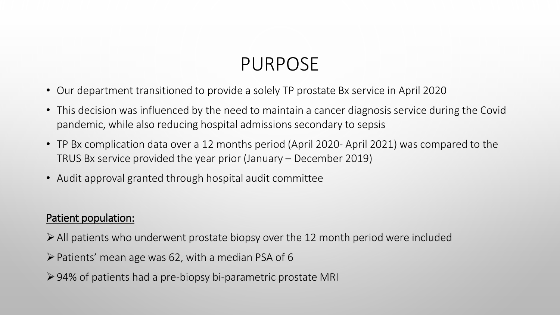## PURPOSE

- Our department transitioned to provide a solely TP prostate Bx service in April 2020
- This decision was influenced by the need to maintain a cancer diagnosis service during the Covid pandemic, while also reducing hospital admissions secondary to sepsis
- TP Bx complication data over a 12 months period (April 2020- April 2021) was compared to the TRUS Bx service provided the year prior (January – December 2019)
- Audit approval granted through hospital audit committee

#### Patient population:

- $\triangleright$  All patients who underwent prostate biopsy over the 12 month period were included
- $\triangleright$  Patients' mean age was 62, with a median PSA of 6
- 94% of patients had a pre-biopsy bi-parametric prostate MRI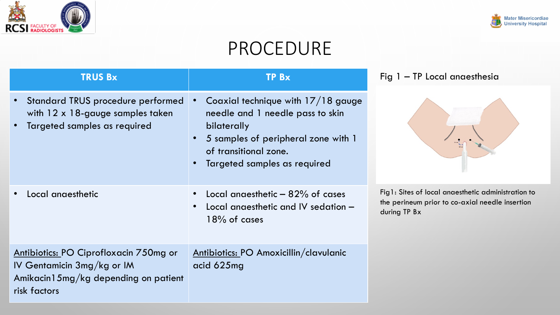



## PROCEDURE

| <b>TRUS Bx</b>                                                                                                               | TPBx                                                                                                                                                                                  | Fig 1 - TP Local anaesthesia                                                                                          |
|------------------------------------------------------------------------------------------------------------------------------|---------------------------------------------------------------------------------------------------------------------------------------------------------------------------------------|-----------------------------------------------------------------------------------------------------------------------|
| Standard TRUS procedure performed<br>with $12 \times 18$ -gauge samples taken<br>Targeted samples as required                | Coaxial technique with 17/18 gauge<br>needle and 1 needle pass to skin<br>bilaterally<br>5 samples of peripheral zone with 1<br>of transitional zone.<br>Targeted samples as required |                                                                                                                       |
| Local anaesthetic                                                                                                            | Local anaesthetic $-$ 82% of cases<br>Local anaesthetic and IV sedation -<br>$18\%$ of cases                                                                                          | Fig1: Sites of local anaesthetic administration to<br>the perineum prior to co-axial needle insertion<br>during TP Bx |
| Antibiotics: PO Ciprofloxacin 750mg or<br>IV Gentamicin 3mg/kg or IM<br>Amikacin15mg/kg depending on patient<br>risk factors | Antibiotics: PO Amoxicillin/clavulanic<br>acid 625mg                                                                                                                                  |                                                                                                                       |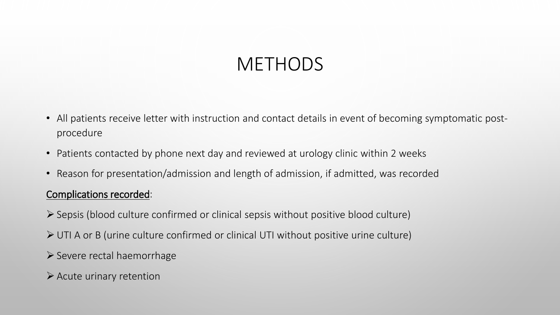## **METHODS**

- All patients receive letter with instruction and contact details in event of becoming symptomatic postprocedure
- Patients contacted by phone next day and reviewed at urology clinic within 2 weeks
- Reason for presentation/admission and length of admission, if admitted, was recorded

#### Complications recorded:

- Sepsis (blood culture confirmed or clinical sepsis without positive blood culture)
- UTI A or B (urine culture confirmed or clinical UTI without positive urine culture)
- $\triangleright$  Severe rectal haemorrhage
- $\triangleright$  Acute urinary retention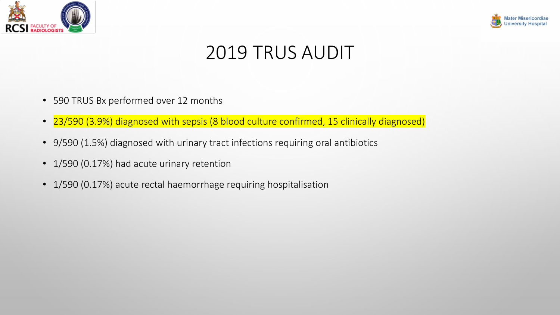



## 2019 TRUS AUDIT

- 590 TRUS Bx performed over 12 months
- 23/590 (3.9%) diagnosed with sepsis (8 blood culture confirmed, 15 clinically diagnosed)
- 9/590 (1.5%) diagnosed with urinary tract infections requiring oral antibiotics
- 1/590 (0.17%) had acute urinary retention
- 1/590 (0.17%) acute rectal haemorrhage requiring hospitalisation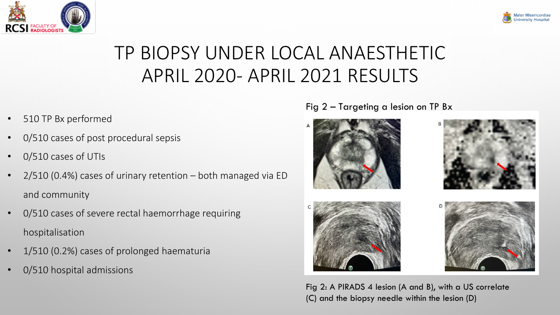



## TP BIOPSY UNDER LOCAL ANAESTHETIC APRIL 2020- APRIL 2021 RESULTS

- 510 TP Bx performed
- 0/510 cases of post procedural sepsis
- 0/510 cases of UTIs
- $2/510$  (0.4%) cases of urinary retention both managed via ED and community
- 0/510 cases of severe rectal haemorrhage requiring hospitalisation
- 1/510 (0.2%) cases of prolonged haematuria
- 0/510 hospital admissions

Fig 2 – Targeting a lesion on TP Bx







Fig 2: A PIRADS 4 lesion (A and B), with a US correlate (C) and the biopsy needle within the lesion (D)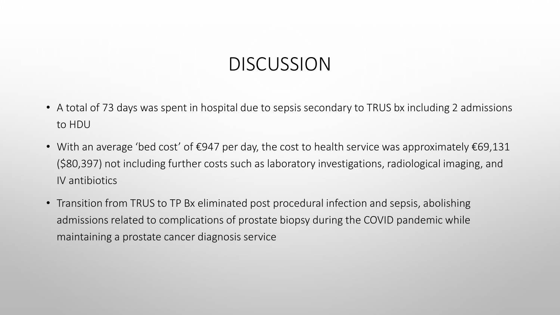### DISCUSSION

- A total of 73 days was spent in hospital due to sepsis secondary to TRUS bx including 2 admissions to HDU
- With an average 'bed cost' of €947 per day, the cost to health service was approximately €69,131 (\$80,397) not including further costs such as laboratory investigations, radiological imaging, and IV antibiotics
- Transition from TRUS to TP Bx eliminated post procedural infection and sepsis, abolishing admissions related to complications of prostate biopsy during the COVID pandemic while maintaining a prostate cancer diagnosis service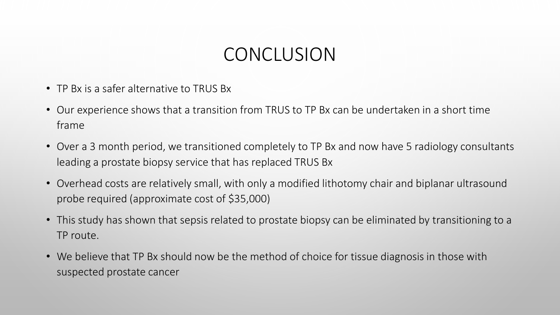### **CONCLUSION**

- TP Bx is a safer alternative to TRUS Bx
- Our experience shows that a transition from TRUS to TP Bx can be undertaken in a short time frame
- Over a 3 month period, we transitioned completely to TP Bx and now have 5 radiology consultants leading a prostate biopsy service that has replaced TRUS Bx
- Overhead costs are relatively small, with only a modified lithotomy chair and biplanar ultrasound probe required (approximate cost of \$35,000)
- This study has shown that sepsis related to prostate biopsy can be eliminated by transitioning to a TP route.
- We believe that TP Bx should now be the method of choice for tissue diagnosis in those with suspected prostate cancer